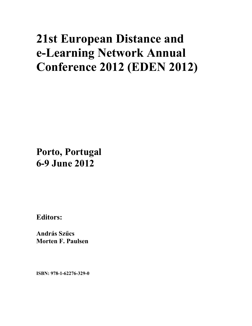# **21st European Distance and e-Learning Network Annual Conference 2012 (EDEN 2012)**

**Porto, Portugal 6-9 June 2012**

**Editors:** 

**András Szűcs Morten F. Paulsen** 

**ISBN: 978-1-62276-329-0**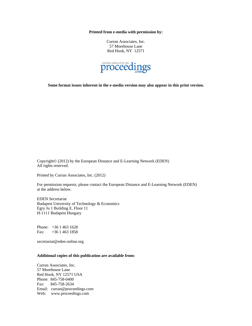**Printed from e-media with permission by:** 

Curran Associates, Inc. 57 Morehouse Lane Red Hook, NY 12571



**Some format issues inherent in the e-media version may also appear in this print version.** 

Copyright© (2012) by the European Distance and E-Learning Network (EDEN) All rights reserved.

Printed by Curran Associates, Inc. (2012)

For permission requests, please contact the European Distance and E-Learning Network (EDEN) at the address below.

EDEN Secretariat Budapest University of Technology & Economics Egry Ju 1 Building E, Floor 11 H-1111 Budapest Hungary

Phone: +36 1 463 1628 Fax: +36 1 463 1858

secretariat@eden-online.org

#### **Additional copies of this publication are available from:**

Curran Associates, Inc. 57 Morehouse Lane Red Hook, NY 12571 USA Phone: 845-758-0400 Fax: 845-758-2634 Email: curran@proceedings.com Web: www.proceedings.com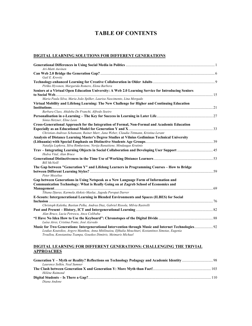# **TABLE OF CONTENTS**

#### **DIGITAL LEARNING SOLUTIONS FOR DIFFERENT GENERATIONS**

| Ari-Matti Auvinen                                                                                                                                                                                                                                                                |     |
|----------------------------------------------------------------------------------------------------------------------------------------------------------------------------------------------------------------------------------------------------------------------------------|-----|
|                                                                                                                                                                                                                                                                                  |     |
| Gail E. Krovitz                                                                                                                                                                                                                                                                  |     |
| Pirkko Hyvonen, Margarida Romero, Elena Barbera                                                                                                                                                                                                                                  |     |
| Seniors at a Virtual Open Education University: A Web 2.0 Learning Service for Introducing Seniors                                                                                                                                                                               |     |
| Maria Paula Silva, Maria João Spilker, Lauriza Nascimento, Lina Morgado                                                                                                                                                                                                          |     |
| Virtual Mobility and Lifelong Learning: The New Challenge for Higher and Continuing Education                                                                                                                                                                                    |     |
| Barbara Class, Ahidoba De Franchi, Alfredo Soeiro                                                                                                                                                                                                                                |     |
| Sónia Hetzner, Eline Leen                                                                                                                                                                                                                                                        |     |
| Cross-Generational Approach for the Integration of Formal, Non-Formal and Academic Education                                                                                                                                                                                     |     |
| Christian-Andreas Schumann, Rainer Marr, Jana Weber, Claudia Tittmann, Kristina Lerant                                                                                                                                                                                           |     |
| Analysis of Distance Learning Master's Degree Studies at Vilnius Gediminas Technical University                                                                                                                                                                                  |     |
| Natalija Lepkova, Silva Rimkuviene, Nerija Banaitiene, Mindaugas Krutinis                                                                                                                                                                                                        |     |
| Hedva Vital, Alan Bruce                                                                                                                                                                                                                                                          |     |
| <b>Bill McNeill</b>                                                                                                                                                                                                                                                              |     |
| The Gap between "Generation Y" and Lifelong Learners in Programming Courses - How to Bridge<br>Peter Mozelius                                                                                                                                                                    |     |
| Gap between Generations in Using Netspeak as a New Language Form of Information and<br>Communication Technology: What is Really Going on at Zagreb School of Economics and                                                                                                       | -69 |
| Tihana Djuras, Karmela Aleksic-Maslac, Jagoda Poropat Darrer                                                                                                                                                                                                                     |     |
| E-Scouts: Intergenerational Learning in Blended Environments and Spaces (ILBES) for Social                                                                                                                                                                                       |     |
| Christoph Kaletka, Bastian Pelka, Andrea Diaz, Gabriel Rissola, Milvia Rastrelli                                                                                                                                                                                                 |     |
| Alan Bruce, Lucia Petrescu, Anca Colibaba                                                                                                                                                                                                                                        |     |
| Luísa Aires, Cristina Ponte, José Azevedo                                                                                                                                                                                                                                        |     |
| Music for Two Generations: Intergenerational Intervention through Music and Internet Technologies 92<br>Loukas Koutsikos, Argyro Manthou, Anna Mitilinaiou, Efthalia Mouchtari, Kostantinos Simotas, Eugenia<br>Troullou, Konstantina Tsampa, Gouskos Dimitris, Meimaris Michael |     |

### **DIGITAL LEARNING FOR DIFFERENT GENERATIONS: CHALLENGING THE TRIVIAL APPROACHES**

| Laurence Solkin, Neal Sumner |  |
|------------------------------|--|
|                              |  |
| Hélène Raimond               |  |
|                              |  |
| Diana Andone                 |  |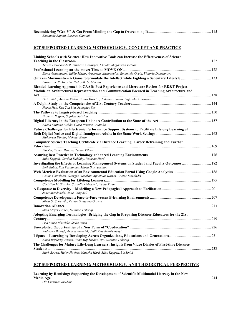| Emanuele Rapetti, Lorenzo Cantoni |  |
|-----------------------------------|--|
|                                   |  |

#### **ICT SUPPORTED LEARNING: METHODOLOGY, CONCEPT AND PRACTICE**

| Linking Schools with Science: How Innovative Tools can Increase the Effectiveness of Science                                                 |  |
|----------------------------------------------------------------------------------------------------------------------------------------------|--|
|                                                                                                                                              |  |
| Teresa Holocher-Ertl, Barbara Kieslinger, Claudia Magdalena Fabian                                                                           |  |
|                                                                                                                                              |  |
| Elena Avatangelou, Ildiko Mazar, Aristotelis Alexopoulos, Emanuela Ovcin, Victoria Damyanova                                                 |  |
| Quiz em Movimento - A Game to Stimulate the Intellect while Fighting a Sedentary Lifestyle  133<br>Barbara S. R. Amorim. Pedro M. O. Martins |  |
| Blended-learning Approach in CAAD: Past Experience and Literature Review for RD&T Project                                                    |  |
| Module on Architectural Representation and Communication Focused in Teaching Architecture and                                                |  |
|                                                                                                                                              |  |
| Pedro Neto, Andrea Vieira, Bruno Moreira, João Sarabando, Lígia Maria Ribeiro                                                                |  |
|                                                                                                                                              |  |
| Heeok Heo, Kyu Yon Lim, Jeonghee Seo                                                                                                         |  |
|                                                                                                                                              |  |
| Franz X. Bogner, Sofoklis Sotiriou                                                                                                           |  |
| Eliana Santana Lisbôa, Clara Pereira Coutinho                                                                                                |  |
|                                                                                                                                              |  |
| Future Challenges for Electronic Performance Support Systems to Facilitate Lifelong Learning of                                              |  |
| Muhterem Dindar, Mehmet Kesim                                                                                                                |  |
| Computer Science Teaching Certificate via Distance Learning: Career Retraining and Further                                                   |  |
|                                                                                                                                              |  |
| Ela Zur, Tamar Benaya, Tamar Vilner                                                                                                          |  |
|                                                                                                                                              |  |
| Mike Keppell, Gordon Suddaby, Natasha Hard                                                                                                   |  |
|                                                                                                                                              |  |
| Beth Rubin, Ron Fernandes, Maria D. Avgerinou                                                                                                |  |
|                                                                                                                                              |  |
| Costas Gavrilakis, Georgia Liarakou, Apostolos Kostas, Costas Tsolakidis                                                                     |  |
|                                                                                                                                              |  |
| Christian M. Stracke, Cornelia Helmstedt, Xenia Kuhn                                                                                         |  |
|                                                                                                                                              |  |
| Janet Macdonald, Anne Campbell                                                                                                               |  |
|                                                                                                                                              |  |
| Sílvia O. S. Ferrão, Ramón Sanguino Galván                                                                                                   |  |
|                                                                                                                                              |  |
| Stina Meyer Larsen, Susanne Tellerup                                                                                                         |  |
| Adopting Emerging Technologies: Bridging the Gap in Preparing Distance Educators for the 21st                                                |  |
|                                                                                                                                              |  |
| Lisa Marie Blaschke, Stella Porto                                                                                                            |  |
|                                                                                                                                              |  |
| Andrasne Balogh, Andras Benedek, Judit Videkine-Remenyi                                                                                      |  |
|                                                                                                                                              |  |
| Karin Bryderup Jensen, Anna Maj Stride Geyti, Susanne Tellerup                                                                               |  |
| The Challenges for Mature Life-Long Learners: Insights from Video Diaries of First-time Distance                                             |  |
| Mark Brown, Helen Hughes, Natasha Hard, Mike Keppell, Liz Smith                                                                              |  |
|                                                                                                                                              |  |

#### **ICT SUPPORTED LEARNING: METHODOLOGY, AND THEORETICAL PERSPECTIVE**

| Learning by Remixing: Supporting the Development of Scientific Multimodal Literacy in the New | 2.44 |
|-----------------------------------------------------------------------------------------------|------|
| Ole Christian Brudvik                                                                         |      |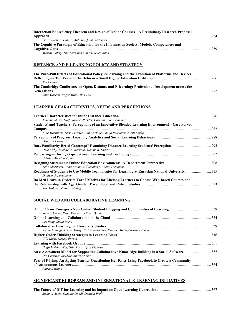| Interaction Equivalency Theorem and Design of Online Courses – A Preliminary Research Proposal |  |
|------------------------------------------------------------------------------------------------|--|
|                                                                                                |  |
| Pedro Barbosa Cabral, António Quintas-Mendes                                                   |  |
| The Cognitive Paradigm of Education for the Information Society: Models, Competences and       |  |
|                                                                                                |  |
| Meskov Valery, Smirnova Irina, Mamchenko Anna                                                  |  |

#### **DISTANCE AND E-LEARNING POLICY AND STRATEGY**

| The Push-Pull Effects of Educational Policy, e-Learning and the Evolution of Platforms and Devices: |     |
|-----------------------------------------------------------------------------------------------------|-----|
|                                                                                                     |     |
| Jim Devine                                                                                          |     |
| The Cambridge Conference on Open, Distance and E-learning: Professional Development across the      |     |
|                                                                                                     | 272 |
| Anne Gaskell, Roger Mills, Alan Tait                                                                |     |

#### **LEARNER CHARACTERISTICS, NEEDS AND PERCEPTIONS**

| Joachim Stöter, Olaf Zawacki-Richter, Christine Von Prümmer                                                               |     |
|---------------------------------------------------------------------------------------------------------------------------|-----|
| Students' and Teachers' Perceptions of an Innovative Blended Learning Environment – Case Porvoo                           | 282 |
| Kitte Marttinen, Teemu Patala, Elina Ketonen, Reijo Ruusunen, Kirsti Lonka                                                |     |
| Deborah Everhart                                                                                                          |     |
| Dale Kirby, Michael K. Barbour, Dennis B. Sharpe                                                                          |     |
| Cristina Almeida Aguiar                                                                                                   |     |
| Tor Söderström, Anna Frohm, Ulf Stödberg, Anette Törnquist                                                                |     |
| Readiness of Students to Use Mobile Technologies for Learning at Eurasian National University315<br>Daniyar Sapargaliyev  |     |
| Do Men Learn in Order to Earn? Motives for Lifelong Learners to Choose Web-based Courses and<br>Ron Mahieu, Simon Wolming | 323 |

#### **SOCIAL WEB AND COLLABORATIVE LEARNING**

| Steve Wheeler, Peter Yeomans, Oliver Ouinlan                                                  |     |
|-----------------------------------------------------------------------------------------------|-----|
|                                                                                               |     |
| Les Pang, Stella Porto                                                                        |     |
|                                                                                               | 339 |
| Airina Volungeviciene, Margarita Tereseviciene, Kristina Mejeryte-Narkeviciene                |     |
|                                                                                               |     |
| Gila Kurtz, Noemy Porath                                                                      |     |
|                                                                                               | 351 |
| Hagit Meishar-Tal, Gila Kurtz, Efrat Pieterse                                                 |     |
| Ole Christian Brudvik, Anders Nome                                                            |     |
| Fear of F-lying: An Ageing Teacher Questioning Her Roles Using Facebook to Create a Community |     |
| of Autonomous Learners.                                                                       | 364 |
| Patricia Huion                                                                                |     |

# **SIGNIFICANT EUROPEAN AND INTERNATIONAL E-LEARNING INITIATIVES**

| Stefania Aceto, Claudio Dondi, Daniela Proli |  |
|----------------------------------------------|--|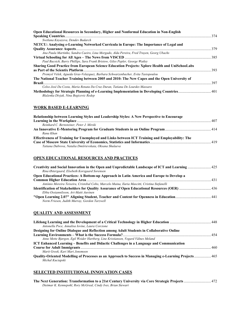| Open Educational Resources in Secondary, Higher and Nonformal Education in Non-English                |     |
|-------------------------------------------------------------------------------------------------------|-----|
|                                                                                                       |     |
| Svetlana Knyazeva, Dendev Badarch                                                                     |     |
| NETCU: Analysing e-Learning Networked Curricula in Europe: The Importance of Legal and                |     |
|                                                                                                       | 379 |
| Ana Paula Martinho, Sandra Caeiro, Lina Morgado, Alda Pereira, Fred Truyen, Georg Ubachs              |     |
|                                                                                                       |     |
| Paul Bacsich, Barry Phillips, Sara Frank Bristow, Giles Pepler, George Watley                         |     |
| <b>Sharing Good Practice from European Science Education Projects: Xplore Health and UniSchooLabs</b> |     |
| as Part of the Scientix Platform.                                                                     | 393 |
| Premysl Velek, Agueda Gras-Velazquez, Barbara Schwarzenbacher, Evita Tasiopoulou                      |     |
| The National Teacher Training between 2005 and 2010: The New Capes and the Open University of         |     |
| <b>Brazil</b>                                                                                         | 397 |
| Celso José Da Costa, Maria Renata Da Cruz Duran, Tatiana De Lourdes Massaro                           |     |
| Methodology for Strategic Planning of e-Learning Implementation in Developing Countries 401           |     |
| Blaženka Divjak, Nina Begicevic Redep                                                                 |     |

# **WORK BASED E-LEARNING**

| Relationship between Learning Styles and Leadership Styles: A New Perspective to Encourage     |  |
|------------------------------------------------------------------------------------------------|--|
|                                                                                                |  |
| Reinhard C. Bernsteiner. Peter J. Mirski                                                       |  |
|                                                                                                |  |
| Rana Khan                                                                                      |  |
| Effectiveness of Training for Unemployed and Links between ICT Training and Employability: The |  |
|                                                                                                |  |
| Tatiana Dubrova, Natalia Dmitrievskaia, Oksana Shulaeva                                        |  |

#### **OPEN EDUCATIONAL RESOURCES AND PRACTICES**

| Rina Østergaard, Elsebeth Korsgaard Sorensen                                                  |  |
|-----------------------------------------------------------------------------------------------|--|
| Open Educational Practices: A Bottom-up Approach in Latin America and Europe to Develop a     |  |
|                                                                                               |  |
| António Moreira Teixeira, Cristobal Cobo, Marcelo Maina, Ilaria Mascitti, Cristina Stefanelli |  |
|                                                                                               |  |
| Ebba Ossiannilsson, Ari-Matti Auvinen                                                         |  |
| Norm Friesen, Judith Murray, Gordon Tarzwell                                                  |  |

# **QUALITY AND ASSESSMENT**

| Antonella Poce, Annalisa Iovine, Laura Corcione                                                              |  |
|--------------------------------------------------------------------------------------------------------------|--|
| Designing for Online Dialogue and Reflection among Adult Students in Collaborative Online                    |  |
|                                                                                                              |  |
| Anne Mette Bjørgen, Egil Weider Hartberg, Line Kristiansen, Vegard Vålnes Meland                             |  |
| <b>ICT Enhanced Learning – Benefits and Didactic Challenges in a Language and Communication</b>              |  |
|                                                                                                              |  |
| Marit Greek. Kari Mari Jonsmoen                                                                              |  |
| <b>Quality-Oriented Modelling of Processes as an Approach to Success in Managing e-Learning Projects 465</b> |  |
| Michal Kuciapski                                                                                             |  |

# **SELECTED INSTITUTIONAL INNOVATION CASES**

|                                                               | The Next Generation: Transformation to a 21st Century University via Core Strategic Projects  472 |
|---------------------------------------------------------------|---------------------------------------------------------------------------------------------------|
| Dietmar K. Kennepohl, Rory McGreal, Cindy Ives, Brian Stewart |                                                                                                   |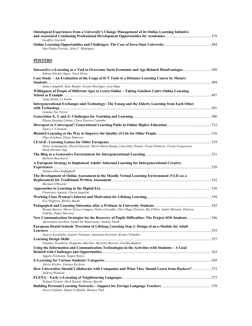| <b>Ontological Experiences from a University's Change Management of its Online Learning Initiative</b> |  |
|--------------------------------------------------------------------------------------------------------|--|
|                                                                                                        |  |
| Geoffrey Goolnik                                                                                       |  |
|                                                                                                        |  |
| Ana-Paula Correia, Julio C. Rodriguez                                                                  |  |

# **POSTERS**

| 190. Interactive e-Learning as a Tool to Overcome Socio-Economic and Age-Related Disadvantages 490<br>Sabine Stöcker-Segre, Yossi Elran |     |
|-----------------------------------------------------------------------------------------------------------------------------------------|-----|
| Case Study - An Evaluation of the Usage of ICT Tools in a Distance Learning Course by Mature                                            |     |
| Anna Campbell, Kate Reader, Evelyn Reisinger, Lisa Migo                                                                                 |     |
|                                                                                                                                         |     |
| Willingness of People of Different Ages to Learn Online - Taking Guizhou Cadre Online Learning                                          | 497 |
| Tang Huilin, Li Yuebo                                                                                                                   |     |
| Intergenerational Exchanges and Technology: The Young and the Elderly Learning from Each Other                                          |     |
|                                                                                                                                         |     |
| Gemma Tur Ferrer                                                                                                                        |     |
| Eliana Santana Lisboa, Clara Pereira Coutinho                                                                                           |     |
| Nancy J. Coleman                                                                                                                        |     |
| Olga Grishina, Elena Sidorova                                                                                                           |     |
|                                                                                                                                         |     |
| Elena Avatangelou, David Oyarzun, Myrto Maria Ranga, Unai Diaz Orueta, Vesna Dolnicar, Vivian Vergouwen,<br>Henk Herman Nap             |     |
| Barbara Baschiera                                                                                                                       |     |
| A European Strategy to Implement Adults' Informal Learning for Intergenerational Creative                                               |     |
|                                                                                                                                         |     |
| Juliana Elisa Raffaghelli                                                                                                               |     |
| The Development of Online Assessment in the Moodle Virtual Learning Environment (VLE) as a                                              |     |
|                                                                                                                                         |     |
| Michael O'Rourke                                                                                                                        |     |
|                                                                                                                                         |     |
| Francesco Agrusti, Cinzia Angelini                                                                                                      |     |
| Eva Wigforss, Shirley Booth                                                                                                             |     |
|                                                                                                                                         |     |
| Renata Barros, Maria Teresa Campos, Pedro Carvalho, Vítor Hugo Teixeira, Rui Chilro, André Moreira, Patrícia<br>Padrão, Pedro Moreira   |     |
| New Communication Strategies for the Recovery of Pupils Difficulties: The Project SOS Students  546                                     |     |
| Alessandra Anichini, Isabel De Maurissens, Andrea Nardi                                                                                 |     |
| European Dental Schools' Provision of Lifelong Learning Step 2: Design of an e-Module for Adult                                         |     |
|                                                                                                                                         |     |
| Argyro Kavadella, Ioannis Tzoutzas, Anastasia Kossioni, Kostas Tsiklakis                                                                |     |
|                                                                                                                                         |     |
| Nataliya Toncheva, Dragomir Marchev, Borislav Borisov, Veselka Radeva                                                                   |     |
| Using the Information and Communication Technologies in the Activities with Students - A Goal                                           |     |
|                                                                                                                                         |     |
| Angela Tesileanu, Eugen Stoica                                                                                                          |     |
| Alexey Kozlov, Tatiana Kozlova                                                                                                          |     |
| How Universities Should Collaborate with Companies and What They Should Learn from Hackers?  572                                        |     |
| Andrzej Wodecki                                                                                                                         |     |
|                                                                                                                                         |     |
| Stefaan Ternier, Derk Sassen, Marcus Specht                                                                                             |     |
|                                                                                                                                         |     |
| Anca Colibaba, Stefan Colibaba, Monica Vlad                                                                                             |     |